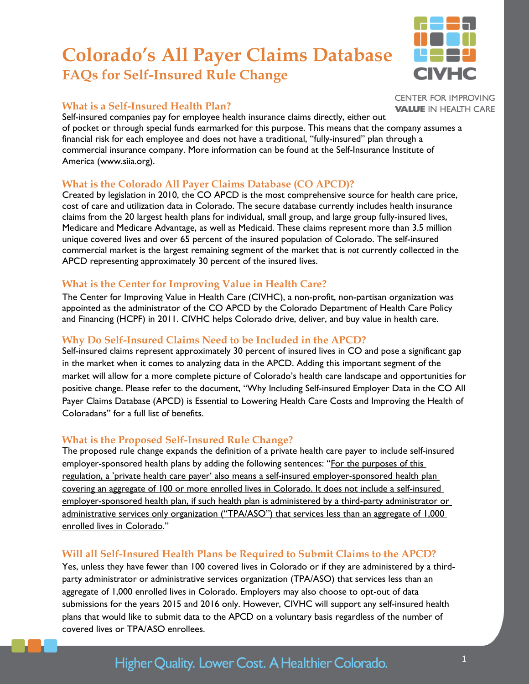# **Colorado's All Payer Claims Database FAQs for Self-Insured Rule Change**

### **What is a Self-Insured Health Plan?**

Self-insured companies pay for employee health insurance claims directly, either out of pocket or through special funds earmarked for this purpose. This means that the company assumes a financial risk for each employee and does not have a traditional, "fully-insured" plan through a commercial insurance company. More information can be found at the Self-Insurance Institute of America (www.siia.org).

### **What is the Colorado All Payer Claims Database (CO APCD)?**

Created by legislation in 2010, the CO APCD is the most comprehensive source for health care price, cost of care and utilization data in Colorado. The secure database currently includes health insurance claims from the 20 largest health plans for individual, small group, and large group fully-insured lives, Medicare and Medicare Advantage, as well as Medicaid. These claims represent more than 3.5 million unique covered lives and over 65 percent of the insured population of Colorado. The self-insured commercial market is the largest remaining segment of the market that is *not* currently collected in the APCD representing approximately 30 percent of the insured lives.

### **What is the Center for Improving Value in Health Care?**

The Center for Improving Value in Health Care (CIVHC), a non-profit, non-partisan organization was appointed as the administrator of the CO APCD by the Colorado Department of Health Care Policy and Financing (HCPF) in 2011. CIVHC helps Colorado drive, deliver, and buy value in health care.

### **Why Do Self-Insured Claims Need to be Included in the APCD?**

Self-insured claims represent approximately 30 percent of insured lives in CO and pose a significant gap in the market when it comes to analyzing data in the APCD. Adding this important segment of the market will allow for a more complete picture of Colorado's health care landscape and opportunities for positive change. Please refer to the document, "Why Including Self-insured Employer Data in the CO All Payer Claims Database (APCD) is Essential to Lowering Health Care Costs and Improving the Health of Coloradans" for a full list of benefits.

### **What is the Proposed Self-Insured Rule Change?**

The proposed rule change expands the definition of a private health care payer to include self-insured employer-sponsored health plans by adding the following sentences: "For the purposes of this regulation, a 'private health care payer' also means a self-insured employer-sponsored health plan covering an aggregate of 100 or more enrolled lives in Colorado. It does not include a self-insured employer-sponsored health plan, if such health plan is administered by a third-party administrator or administrative services only organization ("TPA/ASO") that services less than an aggregate of 1,000 enrolled lives in Colorado."

# **Will all Self-Insured Health Plans be Required to Submit Claims to the APCD?**

Yes, unless they have fewer than 100 covered lives in Colorado or if they are administered by a thirdparty administrator or administrative services organization (TPA/ASO) that services less than an aggregate of 1,000 enrolled lives in Colorado. Employers may also choose to opt-out of data submissions for the years 2015 and 2016 only. However, CIVHC will support any self-insured health plans that would like to submit data to the APCD on a voluntary basis regardless of the number of covered lives or TPA/ASO enrollees.

# Higher Quality. Lower Cost. A Healthier Colorado.



**CENTER FOR IMPROVING VALUE IN HEALTH CARE**